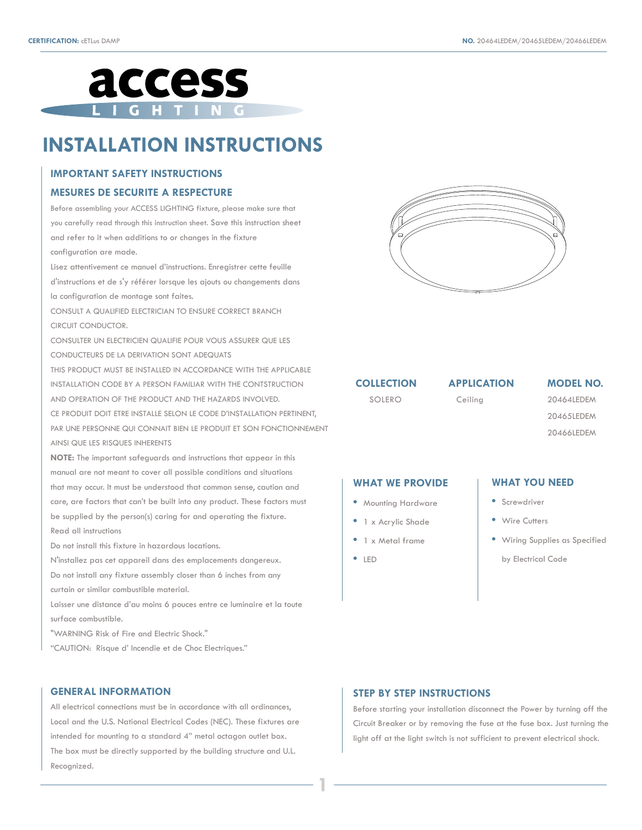

# **INSTALLATION INSTRUCTIONS**

#### **IMPORTANT SAFETY INSTRUCTIONS**

#### **MESURES DE SECURITE A RESPECTURE**

Before assembling your ACCESS LIGHTING fixture, please make sure that you carefully read through this instruction sheet. Save this instruction sheet and refer to it when additions to or changes in the fixture configuration are made.

Lisez attentivement ce manuel d'instructions. Enregistrer cette feuille d'instructions et de s'y référer lorsque les ajouts ou changements dans la configuration de montage sont faites.

CONSULT A QUALIFIED ELECTRICIAN TO ENSURE CORRECT BRANCH CIRCUIT CONDUCTOR.

CONSULTER UN ELECTRICIEN QUALIFIE POUR VOUS ASSURER QUE LES CONDUCTEURS DE LA DERIVATION SONT ADEQUATS

THIS PRODUCT MUST BE INSTALLED IN ACCORDANCE WITH THE APPLICABLE INSTALLATION CODE BY A PERSON FAMILIAR WITH THE CONTSTRUCTION AND OPERATION OF THE PRODUCT AND THE HAZARDS INVOLVED. CE PRODUIT DOIT ETRE INSTALLE SELON LE CODE D'INSTALLATION PERTINENT,

PAR UNE PERSONNE QUI CONNAIT BIEN LE PRODUIT ET SON FONCTIONNEMENT AINSI QUE LES RISQUES INHERENTS

**NOTE:** The important safeguards and instructions that appear in this manual are not meant to cover all possible conditions and situations that may occur. It must be understood that common sense, caution and care, are factors that can't be built into any product. These factors must be supplied by the person(s) caring for and operating the fixture. Read all instructions

Do not install this fixture in hazardous locations.

N'installez pas cet appareil dans des emplacements dangereux. Do not install any fixture assembly closer than 6 inches from any curtain or similar combustible material.

Laisser une distance d'au moins 6 pouces entre ce luminaire et la toute surface combustible.

"WARNING Risk of Fire and Electric Shock."

"CAUTION: Risque d' Incendie et de Choc Electriques."

#### **GENERAL INFORMATION**

All electrical connections must be in accordance with all ordinances, Local and the U.S. National Electrical Codes (NEC). These fixtures are intended for mounting to a standard 4" metal octagon outlet box. The box must be directly supported by the building structure and U.L. Recognized.



**COLLECTION** 

Ceiling

SOLERO Ceiling 20464LEDEM 20465LEDEM **APPLICATION MODEL NO.**

20466LEDEM

#### **WHAT WE PROVIDE**

- Mounting Hardware
- 1 x Acrylic Shade
- 1 x Metal frame
- LED

**1**

#### **WHAT YOU NEED**

- Screwdriver
- Wire Cutters
- Wiring Supplies as Specified
	- by Electrical Code

### **STEP BY STEP INSTRUCTIONS**

Before starting your installation disconnect the Power by turning off the Circuit Breaker or by removing the fuse at the fuse box. Just turning the light off at the light switch is not sufficient to prevent electrical shock.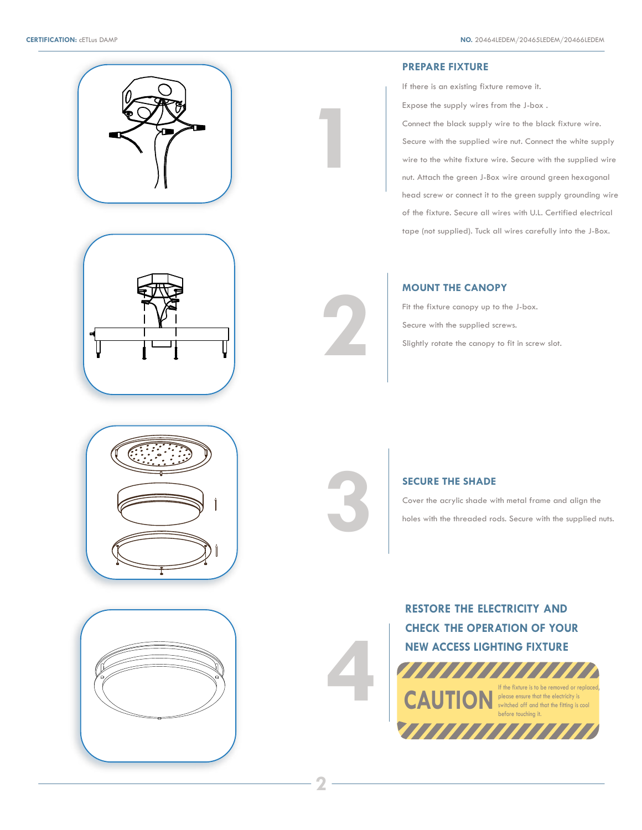



#### **PREPARE FIXTURE**

If there is an existing fixture remove it.

Expose the supply wires from the J-box .

Connect the black supply wire to the black fixture wire. Secure with the supplied wire nut. Connect the white supply wire to the white fixture wire. Secure with the supplied wire nut. Attach the green J-Box wire around green hexagonal head screw or connect it to the green supply grounding wire of the fixture. Secure all wires with U.L. Certified electrical tape (not supplied). Tuck all wires carefully into the J-Box.

### **MOUNT THE CANOPY**

Fit the fixture canopy up to the J-box. Secure with the supplied screws. Slightly rotate the canopy to fit in screw slot.



**SECURE THE SHADE**<br>Cover the acrylic shade w<br>holes with the threaded ro

**4**

**2**

**1**

Cover the acrylic shade with metal frame and align the holes with the threaded rods. Secure with the supplied nuts.

**RESTORE THE ELECTRICITY AND CHECK THE OPERATION OF YOUR NEW ACCESS LIGHTING FIXTURE**

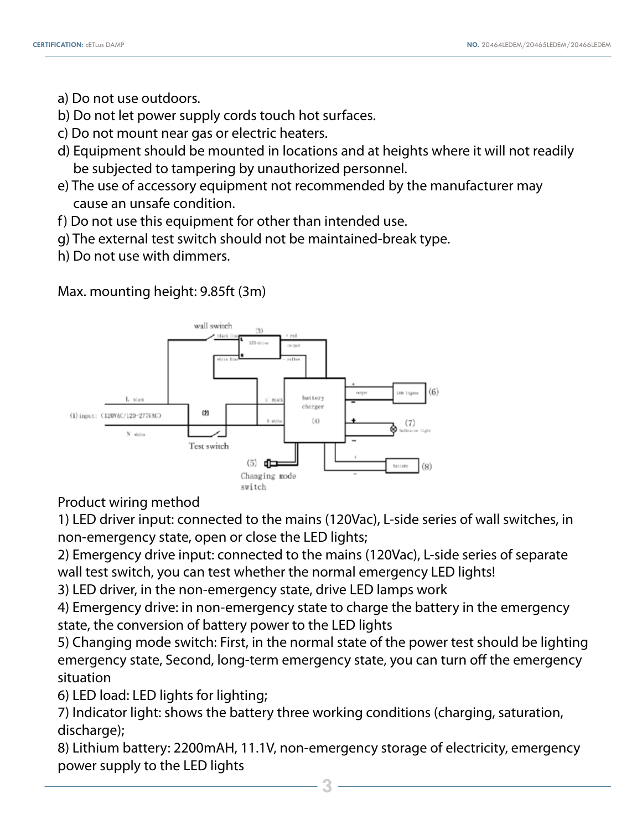- a) Do not use outdoors.
- b) Do not let power supply cords touch hot surfaces.
- c) Do not mount near gas or electric heaters.
- d) Equipment should be mounted in locations and at heights where it will not readily be subjected to tampering by unauthorized personnel.
- e) The use of accessory equipment not recommended by the manufacturer may cause an unsafe condition.
- f) Do not use this equipment for other than intended use.
- g) The external test switch should not be maintained-break type.
- h) Do not use with dimmers.

Max. mounting height: 9.85ft (3m)



Product wiring method

1) LED driver input: connected to the mains (120Vac), L-side series of wall switches, in non-emergency state, open or close the LED lights;

2) Emergency drive input: connected to the mains (120Vac), L-side series of separate wall test switch, you can test whether the normal emergency LED lights!

3) LED driver, in the non-emergency state, drive LED lamps work

4) Emergency drive: in non-emergency state to charge the battery in the emergency state, the conversion of battery power to the LED lights

5) Changing mode switch: First, in the normal state of the power test should be lighting emergency state, Second, long-term emergency state, you can turn off the emergency situation

6) LED load: LED lights for lighting;

7) Indicator light: shows the battery three working conditions (charging, saturation, discharge);

8) Lithium battery: 2200mAH, 11.1V, non-emergency storage of electricity, emergency power supply to the LED lights